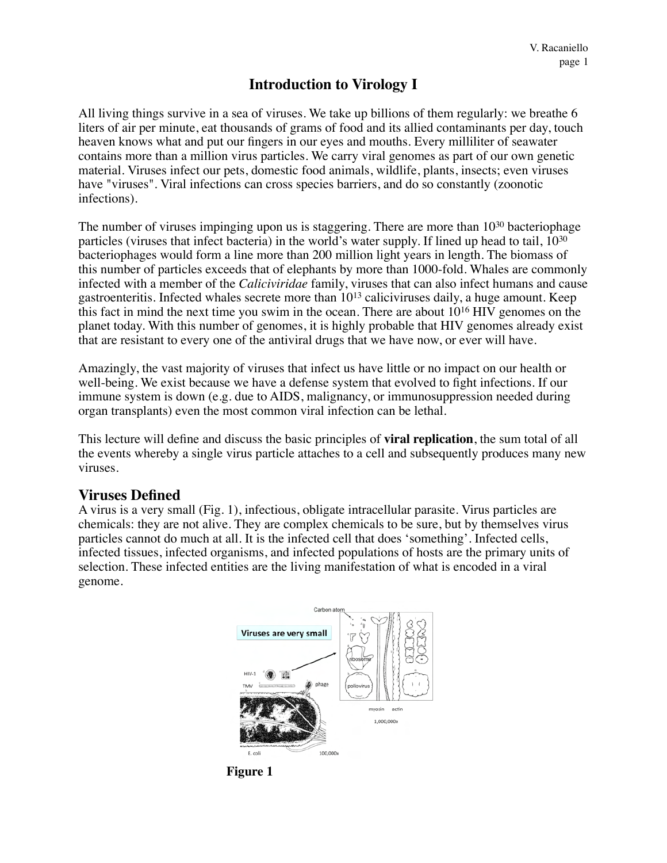# **Introduction to Virology I**

All living things survive in a sea of viruses. We take up billions of them regularly: we breathe 6 liters of air per minute, eat thousands of grams of food and its allied contaminants per day, touch heaven knows what and put our fingers in our eyes and mouths. Every milliliter of seawater contains more than a million virus particles. We carry viral genomes as part of our own genetic material. Viruses infect our pets, domestic food animals, wildlife, plants, insects; even viruses have "viruses". Viral infections can cross species barriers, and do so constantly (zoonotic infections).

The number of viruses impinging upon us is staggering. There are more than  $10^{30}$  bacteriophage particles (viruses that infect bacteria) in the world's water supply. If lined up head to tail, 1030 bacteriophages would form a line more than 200 million light years in length. The biomass of this number of particles exceeds that of elephants by more than 1000-fold. Whales are commonly infected with a member of the *Caliciviridae* family, viruses that can also infect humans and cause gastroenteritis. Infected whales secrete more than 1013 caliciviruses daily, a huge amount. Keep this fact in mind the next time you swim in the ocean. There are about 1016 HIV genomes on the planet today. With this number of genomes, it is highly probable that HIV genomes already exist that are resistant to every one of the antiviral drugs that we have now, or ever will have.

Amazingly, the vast majority of viruses that infect us have little or no impact on our health or well-being. We exist because we have a defense system that evolved to fight infections. If our immune system is down (e.g. due to AIDS, malignancy, or immunosuppression needed during organ transplants) even the most common viral infection can be lethal.

This lecture will define and discuss the basic principles of **viral replication**, the sum total of all the events whereby a single virus particle attaches to a cell and subsequently produces many new viruses.

#### **Viruses Defined**

A virus is a very small (Fig. 1), infectious, obligate intracellular parasite. Virus particles are chemicals: they are not alive. They are complex chemicals to be sure, but by themselves virus particles cannot do much at all. It is the infected cell that does 'something'. Infected cells, infected tissues, infected organisms, and infected populations of hosts are the primary units of selection. These infected entities are the living manifestation of what is encoded in a viral genome.



**Figure 1**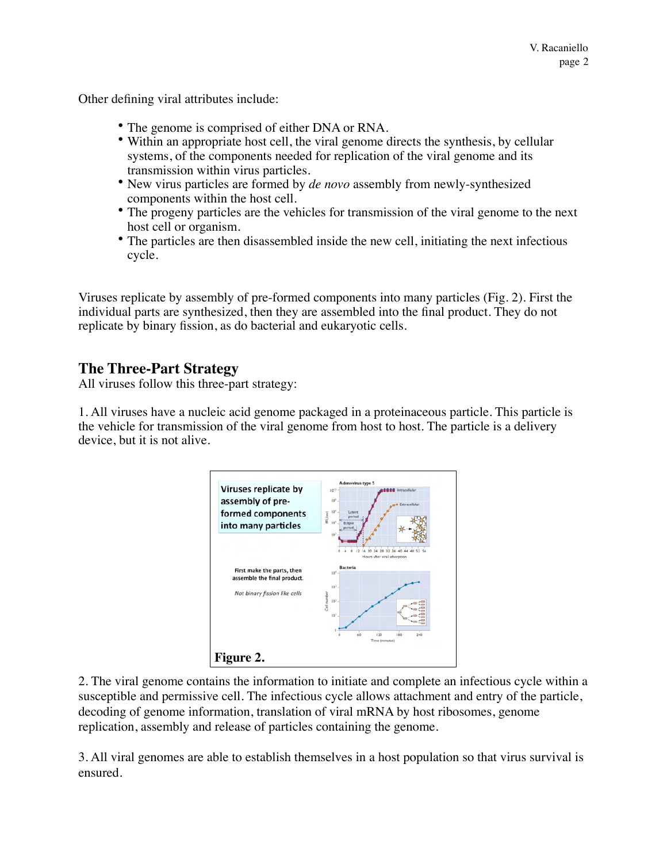Other defining viral attributes include:

- The genome is comprised of either DNA or RNA.
- Within an appropriate host cell, the viral genome directs the synthesis, by cellular systems, of the components needed for replication of the viral genome and its transmission within virus particles.
- New virus particles are formed by *de novo* assembly from newly-synthesized components within the host cell.
- The progeny particles are the vehicles for transmission of the viral genome to the next host cell or organism.
- The particles are then disassembled inside the new cell, initiating the next infectious cycle.

Viruses replicate by assembly of pre-formed components into many particles (Fig. 2). First the individual parts are synthesized, then they are assembled into the final product. They do not replicate by binary fission, as do bacterial and eukaryotic cells.

### **The Three-Part Strategy**

All viruses follow this three-part strategy:

1. All viruses have a nucleic acid genome packaged in a proteinaceous particle. This particle is the vehicle for transmission of the viral genome from host to host. The particle is a delivery device, but it is not alive.



2. The viral genome contains the information to initiate and complete an infectious cycle within a susceptible and permissive cell. The infectious cycle allows attachment and entry of the particle, decoding of genome information, translation of viral mRNA by host ribosomes, genome replication, assembly and release of particles containing the genome.

3. All viral genomes are able to establish themselves in a host population so that virus survival is ensured.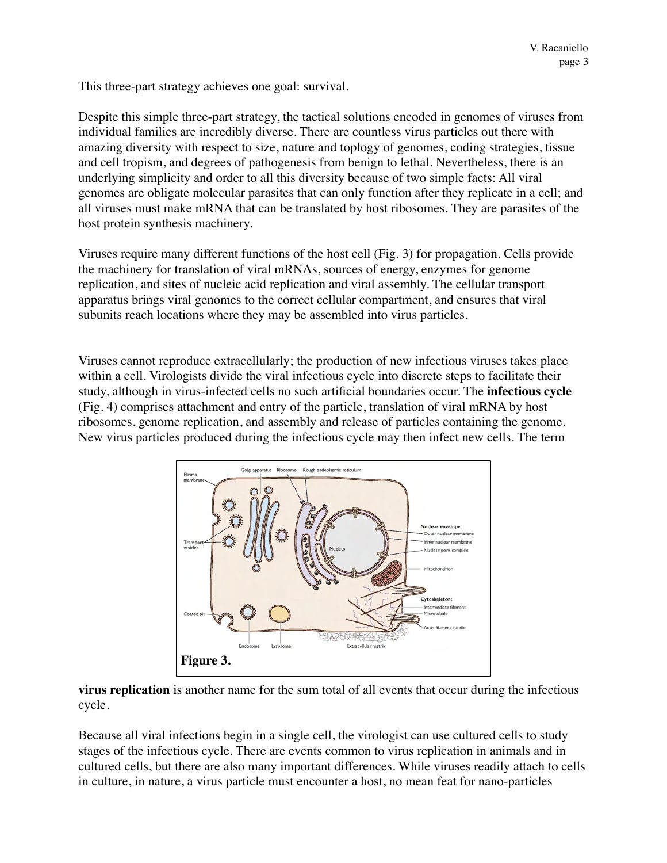This three-part strategy achieves one goal: survival.

Despite this simple three-part strategy, the tactical solutions encoded in genomes of viruses from individual families are incredibly diverse. There are countless virus particles out there with amazing diversity with respect to size, nature and toplogy of genomes, coding strategies, tissue and cell tropism, and degrees of pathogenesis from benign to lethal. Nevertheless, there is an underlying simplicity and order to all this diversity because of two simple facts: All viral genomes are obligate molecular parasites that can only function after they replicate in a cell; and all viruses must make mRNA that can be translated by host ribosomes. They are parasites of the host protein synthesis machinery.

Viruses require many different functions of the host cell (Fig. 3) for propagation. Cells provide the machinery for translation of viral mRNAs, sources of energy, enzymes for genome replication, and sites of nucleic acid replication and viral assembly. The cellular transport apparatus brings viral genomes to the correct cellular compartment, and ensures that viral subunits reach locations where they may be assembled into virus particles.

Viruses cannot reproduce extracellularly; the production of new infectious viruses takes place within a cell. Virologists divide the viral infectious cycle into discrete steps to facilitate their study, although in virus-infected cells no such artificial boundaries occur. The **infectious cycle** (Fig. 4) comprises attachment and entry of the particle, translation of viral mRNA by host ribosomes, genome replication, and assembly and release of particles containing the genome. New virus particles produced during the infectious cycle may then infect new cells. The term



**virus replication** is another name for the sum total of all events that occur during the infectious cycle.

Because all viral infections begin in a single cell, the virologist can use cultured cells to study stages of the infectious cycle. There are events common to virus replication in animals and in cultured cells, but there are also many important differences. While viruses readily attach to cells in culture, in nature, a virus particle must encounter a host, no mean feat for nano-particles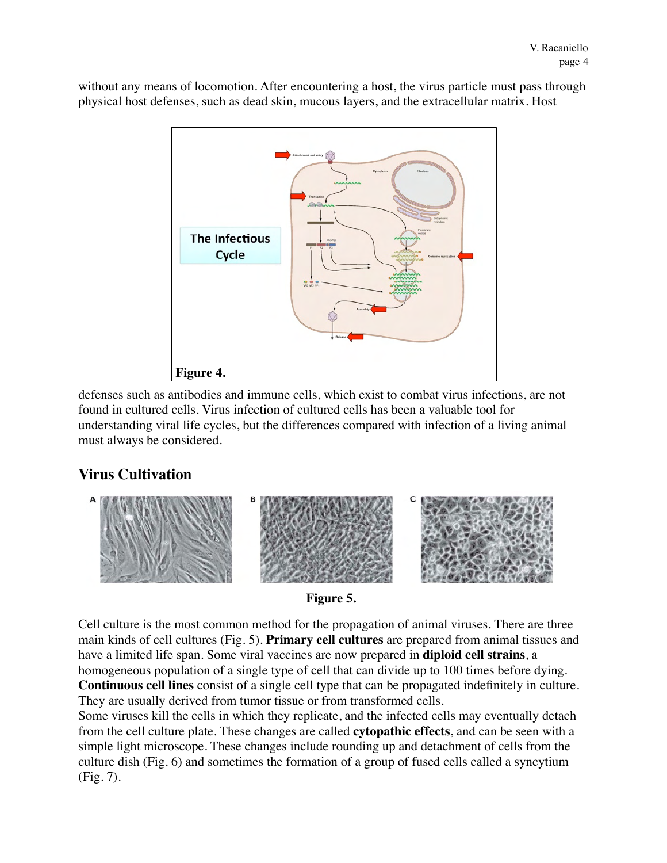without any means of locomotion. After encountering a host, the virus particle must pass through physical host defenses, such as dead skin, mucous layers, and the extracellular matrix. Host



defenses such as antibodies and immune cells, which exist to combat virus infections, are not found in cultured cells. Virus infection of cultured cells has been a valuable tool for understanding viral life cycles, but the differences compared with infection of a living animal must always be considered.

## **Virus Cultivation**



**Figure 5.**

Cell culture is the most common method for the propagation of animal viruses. There are three main kinds of cell cultures (Fig. 5). **Primary cell cultures** are prepared from animal tissues and have a limited life span. Some viral vaccines are now prepared in **diploid cell strains**, a homogeneous population of a single type of cell that can divide up to 100 times before dying. **Continuous cell lines** consist of a single cell type that can be propagated indefinitely in culture. They are usually derived from tumor tissue or from transformed cells.

Some viruses kill the cells in which they replicate, and the infected cells may eventually detach from the cell culture plate. These changes are called **cytopathic effects**, and can be seen with a simple light microscope. These changes include rounding up and detachment of cells from the culture dish (Fig. 6) and sometimes the formation of a group of fused cells called a syncytium (Fig. 7).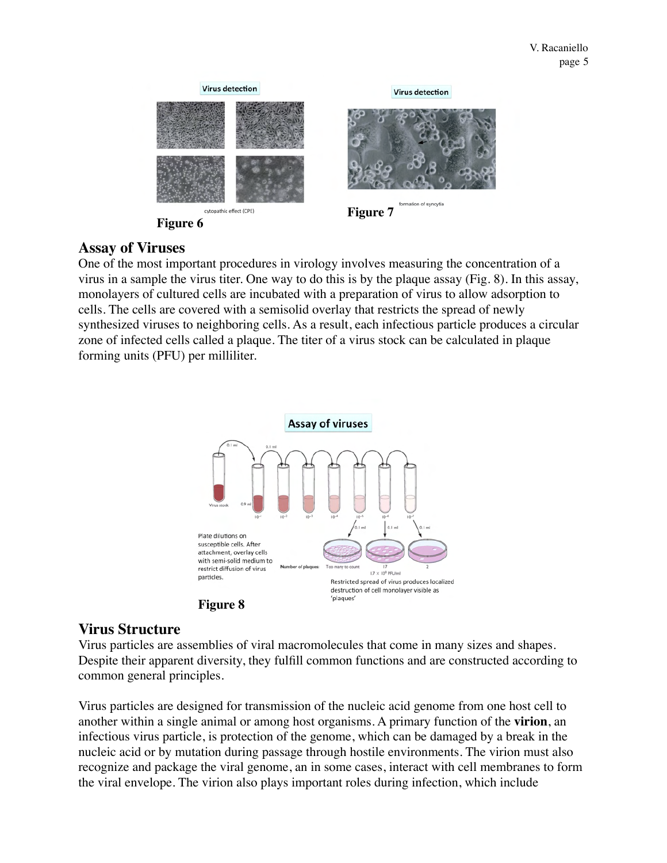

# **Assay of Viruses**

One of the most important procedures in virology involves measuring the concentration of a virus in a sample the virus titer. One way to do this is by the plaque assay (Fig. 8). In this assay, monolayers of cultured cells are incubated with a preparation of virus to allow adsorption to cells. The cells are covered with a semisolid overlay that restricts the spread of newly synthesized viruses to neighboring cells. As a result, each infectious particle produces a circular zone of infected cells called a plaque. The titer of a virus stock can be calculated in plaque forming units (PFU) per milliliter.





#### **Virus Structure**

Virus particles are assemblies of viral macromolecules that come in many sizes and shapes. Despite their apparent diversity, they fulfill common functions and are constructed according to common general principles.

Virus particles are designed for transmission of the nucleic acid genome from one host cell to another within a single animal or among host organisms. A primary function of the **virion**, an infectious virus particle, is protection of the genome, which can be damaged by a break in the nucleic acid or by mutation during passage through hostile environments. The virion must also recognize and package the viral genome, an in some cases, interact with cell membranes to form the viral envelope. The virion also plays important roles during infection, which include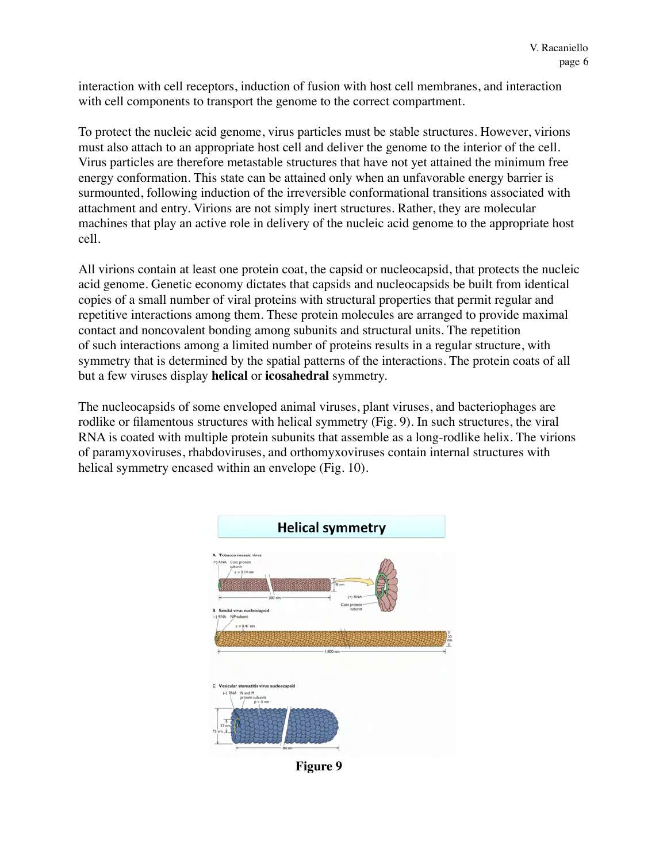interaction with cell receptors, induction of fusion with host cell membranes, and interaction with cell components to transport the genome to the correct compartment.

To protect the nucleic acid genome, virus particles must be stable structures. However, virions must also attach to an appropriate host cell and deliver the genome to the interior of the cell. Virus particles are therefore metastable structures that have not yet attained the minimum free energy conformation. This state can be attained only when an unfavorable energy barrier is surmounted, following induction of the irreversible conformational transitions associated with attachment and entry. Virions are not simply inert structures. Rather, they are molecular machines that play an active role in delivery of the nucleic acid genome to the appropriate host cell.

All virions contain at least one protein coat, the capsid or nucleocapsid, that protects the nucleic acid genome. Genetic economy dictates that capsids and nucleocapsids be built from identical copies of a small number of viral proteins with structural properties that permit regular and repetitive interactions among them. These protein molecules are arranged to provide maximal contact and noncovalent bonding among subunits and structural units. The repetition of such interactions among a limited number of proteins results in a regular structure, with symmetry that is determined by the spatial patterns of the interactions. The protein coats of all but a few viruses display **helical** or **icosahedral** symmetry.

The nucleocapsids of some enveloped animal viruses, plant viruses, and bacteriophages are rodlike or filamentous structures with helical symmetry (Fig. 9). In such structures, the viral RNA is coated with multiple protein subunits that assemble as a long-rodlike helix. The virions of paramyxoviruses, rhabdoviruses, and orthomyxoviruses contain internal structures with helical symmetry encased within an envelope (Fig. 10).



**Figure 9**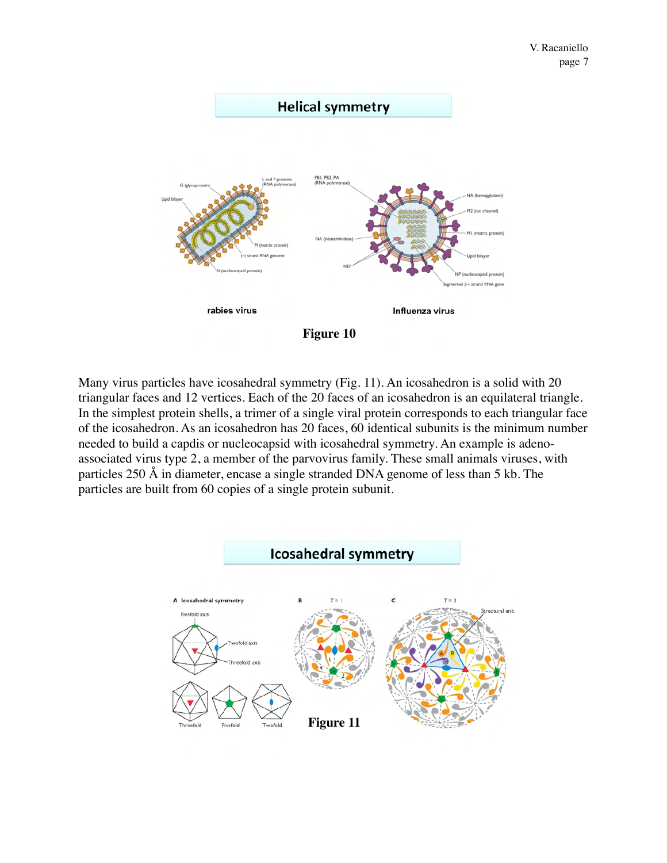

Many virus particles have icosahedral symmetry (Fig. 11). An icosahedron is a solid with 20 triangular faces and 12 vertices. Each of the 20 faces of an icosahedron is an equilateral triangle. In the simplest protein shells, a trimer of a single viral protein corresponds to each triangular face of the icosahedron. As an icosahedron has 20 faces, 60 identical subunits is the minimum number needed to build a capdis or nucleocapsid with icosahedral symmetry. An example is adenoassociated virus type 2, a member of the parvovirus family. These small animals viruses, with particles 250 Å in diameter, encase a single stranded DNA genome of less than 5 kb. The particles are built from 60 copies of a single protein subunit.

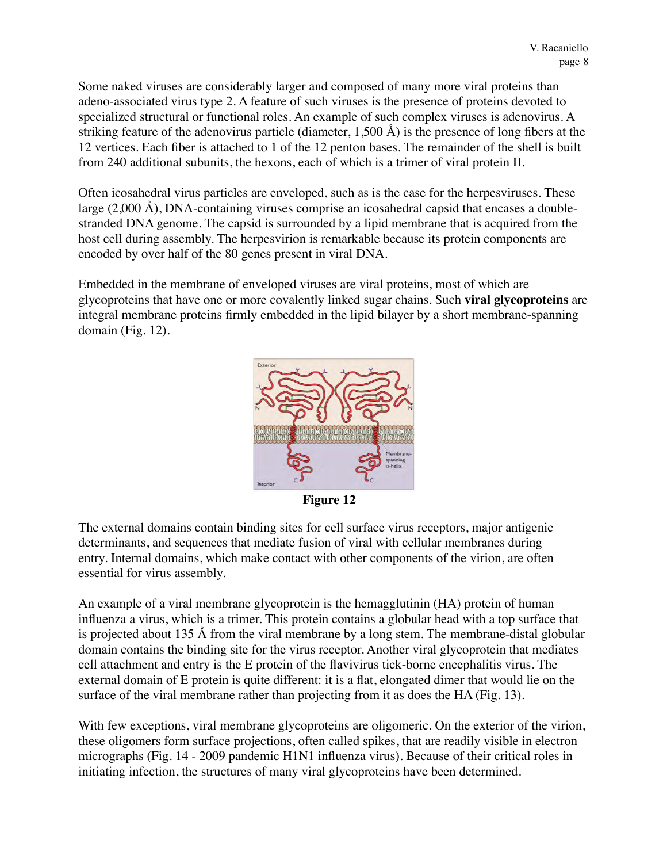Some naked viruses are considerably larger and composed of many more viral proteins than adeno-associated virus type 2. A feature of such viruses is the presence of proteins devoted to specialized structural or functional roles. An example of such complex viruses is adenovirus. A striking feature of the adenovirus particle (diameter,  $1,500 \text{ Å}$ ) is the presence of long fibers at the 12 vertices. Each fiber is attached to 1 of the 12 penton bases. The remainder of the shell is built from 240 additional subunits, the hexons, each of which is a trimer of viral protein II.

Often icosahedral virus particles are enveloped, such as is the case for the herpesviruses. These large (2,000 Å), DNA-containing viruses comprise an icosahedral capsid that encases a doublestranded DNA genome. The capsid is surrounded by a lipid membrane that is acquired from the host cell during assembly. The herpesvirion is remarkable because its protein components are encoded by over half of the 80 genes present in viral DNA.

Embedded in the membrane of enveloped viruses are viral proteins, most of which are glycoproteins that have one or more covalently linked sugar chains. Such **viral glycoproteins** are integral membrane proteins firmly embedded in the lipid bilayer by a short membrane-spanning domain (Fig. 12).



**Figure 12**

The external domains contain binding sites for cell surface virus receptors, major antigenic determinants, and sequences that mediate fusion of viral with cellular membranes during entry. Internal domains, which make contact with other components of the virion, are often essential for virus assembly.

An example of a viral membrane glycoprotein is the hemagglutinin (HA) protein of human influenza a virus, which is a trimer. This protein contains a globular head with a top surface that is projected about 135 Å from the viral membrane by a long stem. The membrane-distal globular domain contains the binding site for the virus receptor. Another viral glycoprotein that mediates cell attachment and entry is the E protein of the flavivirus tick-borne encephalitis virus. The external domain of E protein is quite different: it is a flat, elongated dimer that would lie on the surface of the viral membrane rather than projecting from it as does the HA (Fig. 13).

With few exceptions, viral membrane glycoproteins are oligomeric. On the exterior of the virion, these oligomers form surface projections, often called spikes, that are readily visible in electron micrographs (Fig. 14 - 2009 pandemic H1N1 influenza virus). Because of their critical roles in initiating infection, the structures of many viral glycoproteins have been determined.